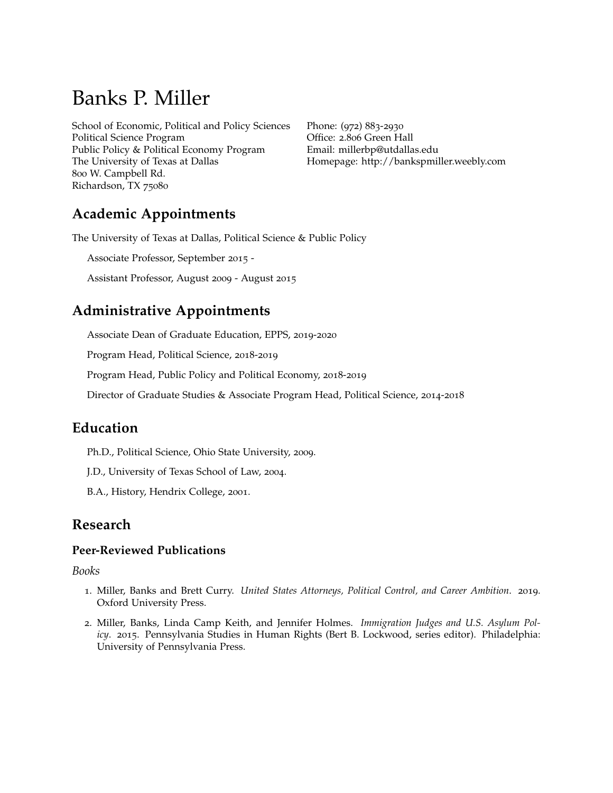# Banks P. Miller

School of Economic, Political and Policy Sciences Political Science Program Public Policy & Political Economy Program The University of Texas at Dallas 800 W. Campbell Rd. Richardson, TX 75080

Phone: (972) 883-2930 Office: 2.806 Green Hall Email: [millerbp@utdallas.edu](mailto:millerbp@utdallas.edu) Homepage: <http://bankspmiller.weebly.com>

# **Academic Appointments**

The University of Texas at Dallas, Political Science & Public Policy

Associate Professor, September 2015 -

Assistant Professor, August 2009 - August 2015

## **Administrative Appointments**

Associate Dean of Graduate Education, EPPS, 2019-2020

Program Head, Political Science, 2018-2019

Program Head, Public Policy and Political Economy, 2018-2019

Director of Graduate Studies & Associate Program Head, Political Science, 2014-2018

## **Education**

Ph.D., Political Science, Ohio State University, 2009.

J.D., University of Texas School of Law, 2004.

B.A., History, Hendrix College, 2001.

## **Research**

#### **Peer-Reviewed Publications**

#### *Books*

- 1. Miller, Banks and Brett Curry. *United States Attorneys, Political Control, and Career Ambition*. 2019. Oxford University Press.
- 2. Miller, Banks, Linda Camp Keith, and Jennifer Holmes. *Immigration Judges and U.S. Asylum Policy*. 2015. Pennsylvania Studies in Human Rights (Bert B. Lockwood, series editor). Philadelphia: University of Pennsylvania Press.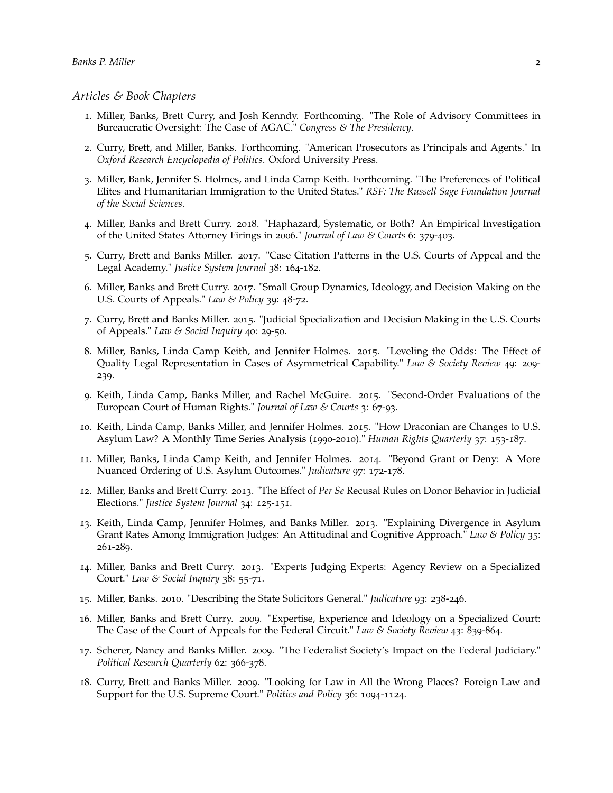#### *Articles & Book Chapters*

- 1. Miller, Banks, Brett Curry, and Josh Kenndy. Forthcoming. "The Role of Advisory Committees in Bureaucratic Oversight: The Case of AGAC." *Congress & The Presidency*.
- 2. Curry, Brett, and Miller, Banks. Forthcoming. "American Prosecutors as Principals and Agents." In *Oxford Research Encyclopedia of Politics*. Oxford University Press.
- 3. Miller, Bank, Jennifer S. Holmes, and Linda Camp Keith. Forthcoming. "The Preferences of Political Elites and Humanitarian Immigration to the United States." *RSF: The Russell Sage Foundation Journal of the Social Sciences*.
- 4. Miller, Banks and Brett Curry. 2018. "Haphazard, Systematic, or Both? An Empirical Investigation of the United States Attorney Firings in 2006." *Journal of Law & Courts* 6: 379-403.
- 5. Curry, Brett and Banks Miller. 2017. "Case Citation Patterns in the U.S. Courts of Appeal and the Legal Academy." *Justice System Journal* 38: 164-182.
- 6. Miller, Banks and Brett Curry. 2017. "Small Group Dynamics, Ideology, and Decision Making on the U.S. Courts of Appeals." *Law & Policy* 39: 48-72.
- 7. Curry, Brett and Banks Miller. 2015. "Judicial Specialization and Decision Making in the U.S. Courts of Appeals." *Law & Social Inquiry* 40: 29-50.
- 8. Miller, Banks, Linda Camp Keith, and Jennifer Holmes. 2015. "Leveling the Odds: The Effect of Quality Legal Representation in Cases of Asymmetrical Capability." *Law & Society Review* 49: 209- 239.
- 9. Keith, Linda Camp, Banks Miller, and Rachel McGuire. 2015. "Second-Order Evaluations of the European Court of Human Rights." *Journal of Law & Courts* 3: 67-93.
- 10. Keith, Linda Camp, Banks Miller, and Jennifer Holmes. 2015. "How Draconian are Changes to U.S. Asylum Law? A Monthly Time Series Analysis (1990-2010)." *Human Rights Quarterly* 37: 153-187.
- 11. Miller, Banks, Linda Camp Keith, and Jennifer Holmes. 2014. "Beyond Grant or Deny: A More Nuanced Ordering of U.S. Asylum Outcomes." *Judicature* 97: 172-178.
- 12. Miller, Banks and Brett Curry. 2013. "The Effect of *Per Se* Recusal Rules on Donor Behavior in Judicial Elections." *Justice System Journal* 34: 125-151.
- 13. Keith, Linda Camp, Jennifer Holmes, and Banks Miller. 2013. "Explaining Divergence in Asylum Grant Rates Among Immigration Judges: An Attitudinal and Cognitive Approach." *Law & Policy* 35: 261-289.
- 14. Miller, Banks and Brett Curry. 2013. "Experts Judging Experts: Agency Review on a Specialized Court." *Law & Social Inquiry* 38: 55-71.
- 15. Miller, Banks. 2010. "Describing the State Solicitors General." *Judicature* 93: 238-246.
- 16. Miller, Banks and Brett Curry. 2009. "Expertise, Experience and Ideology on a Specialized Court: The Case of the Court of Appeals for the Federal Circuit." *Law & Society Review* 43: 839-864.
- 17. Scherer, Nancy and Banks Miller. 2009. "The Federalist Society's Impact on the Federal Judiciary." *Political Research Quarterly* 62: 366-378.
- 18. Curry, Brett and Banks Miller. 2009. "Looking for Law in All the Wrong Places? Foreign Law and Support for the U.S. Supreme Court." *Politics and Policy* 36: 1094-1124.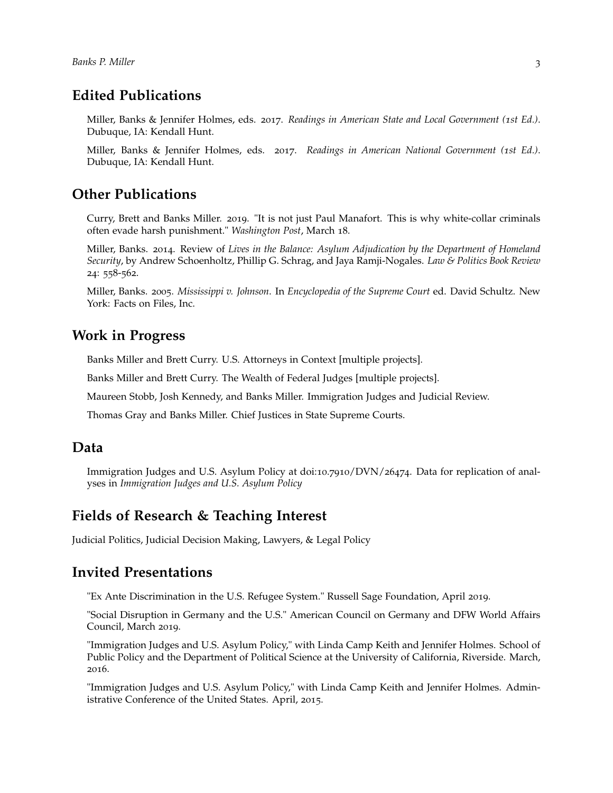## **Edited Publications**

Miller, Banks & Jennifer Holmes, eds. 2017. *Readings in American State and Local Government (1st Ed.)*. Dubuque, IA: Kendall Hunt.

Miller, Banks & Jennifer Holmes, eds. 2017. *Readings in American National Government (1st Ed.)*. Dubuque, IA: Kendall Hunt.

## **Other Publications**

Curry, Brett and Banks Miller. 2019. "It is not just Paul Manafort. This is why white-collar criminals often evade harsh punishment." *Washington Post*, March 18.

Miller, Banks. 2014. Review of *Lives in the Balance: Asylum Adjudication by the Department of Homeland Security*, by Andrew Schoenholtz, Phillip G. Schrag, and Jaya Ramji-Nogales. *Law & Politics Book Review* 24: 558-562.

Miller, Banks. 2005. *Mississippi v. Johnson*. In *Encyclopedia of the Supreme Court* ed. David Schultz. New York: Facts on Files, Inc.

#### **Work in Progress**

Banks Miller and Brett Curry. U.S. Attorneys in Context [multiple projects].

Banks Miller and Brett Curry. The Wealth of Federal Judges [multiple projects].

Maureen Stobb, Josh Kennedy, and Banks Miller. Immigration Judges and Judicial Review.

Thomas Gray and Banks Miller. Chief Justices in State Supreme Courts.

#### **Data**

Immigration Judges and U.S. Asylum Policy at doi:10.7910/DVN/26474. Data for replication of analyses in *Immigration Judges and U.S. Asylum Policy*

#### **Fields of Research & Teaching Interest**

Judicial Politics, Judicial Decision Making, Lawyers, & Legal Policy

#### **Invited Presentations**

"Ex Ante Discrimination in the U.S. Refugee System." Russell Sage Foundation, April 2019.

"Social Disruption in Germany and the U.S." American Council on Germany and DFW World Affairs Council, March 2019.

"Immigration Judges and U.S. Asylum Policy," with Linda Camp Keith and Jennifer Holmes. School of Public Policy and the Department of Political Science at the University of California, Riverside. March, 2016.

"Immigration Judges and U.S. Asylum Policy," with Linda Camp Keith and Jennifer Holmes. Administrative Conference of the United States. April, 2015.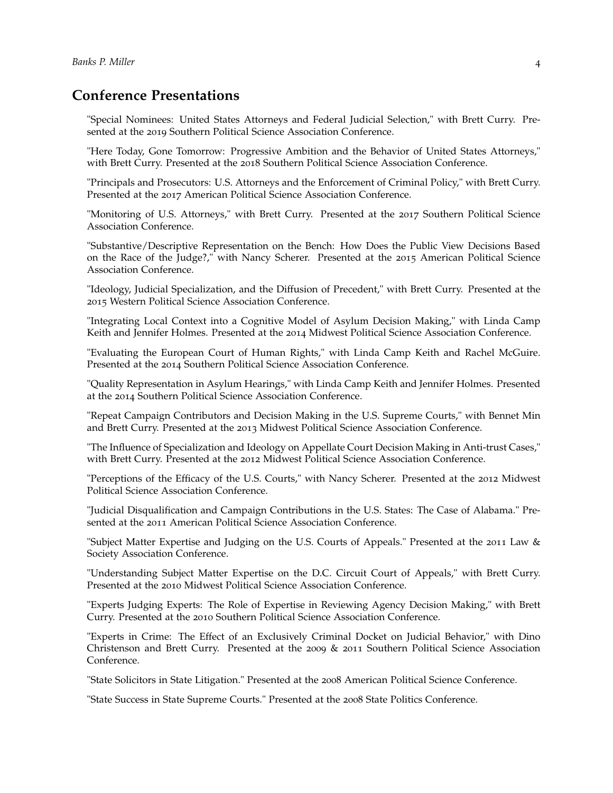## **Conference Presentations**

"Special Nominees: United States Attorneys and Federal Judicial Selection," with Brett Curry. Presented at the 2019 Southern Political Science Association Conference.

"Here Today, Gone Tomorrow: Progressive Ambition and the Behavior of United States Attorneys," with Brett Curry. Presented at the 2018 Southern Political Science Association Conference.

"Principals and Prosecutors: U.S. Attorneys and the Enforcement of Criminal Policy," with Brett Curry. Presented at the 2017 American Political Science Association Conference.

"Monitoring of U.S. Attorneys," with Brett Curry. Presented at the 2017 Southern Political Science Association Conference.

"Substantive/Descriptive Representation on the Bench: How Does the Public View Decisions Based on the Race of the Judge?," with Nancy Scherer. Presented at the 2015 American Political Science Association Conference.

"Ideology, Judicial Specialization, and the Diffusion of Precedent," with Brett Curry. Presented at the 2015 Western Political Science Association Conference.

"Integrating Local Context into a Cognitive Model of Asylum Decision Making," with Linda Camp Keith and Jennifer Holmes. Presented at the 2014 Midwest Political Science Association Conference.

"Evaluating the European Court of Human Rights," with Linda Camp Keith and Rachel McGuire. Presented at the 2014 Southern Political Science Association Conference.

"Quality Representation in Asylum Hearings," with Linda Camp Keith and Jennifer Holmes. Presented at the 2014 Southern Political Science Association Conference.

"Repeat Campaign Contributors and Decision Making in the U.S. Supreme Courts," with Bennet Min and Brett Curry. Presented at the 2013 Midwest Political Science Association Conference.

"The Influence of Specialization and Ideology on Appellate Court Decision Making in Anti-trust Cases," with Brett Curry. Presented at the 2012 Midwest Political Science Association Conference.

"Perceptions of the Efficacy of the U.S. Courts," with Nancy Scherer. Presented at the 2012 Midwest Political Science Association Conference.

"Judicial Disqualification and Campaign Contributions in the U.S. States: The Case of Alabama." Presented at the 2011 American Political Science Association Conference.

"Subject Matter Expertise and Judging on the U.S. Courts of Appeals." Presented at the 2011 Law & Society Association Conference.

"Understanding Subject Matter Expertise on the D.C. Circuit Court of Appeals," with Brett Curry. Presented at the 2010 Midwest Political Science Association Conference.

"Experts Judging Experts: The Role of Expertise in Reviewing Agency Decision Making," with Brett Curry. Presented at the 2010 Southern Political Science Association Conference.

"Experts in Crime: The Effect of an Exclusively Criminal Docket on Judicial Behavior," with Dino Christenson and Brett Curry. Presented at the 2009 & 2011 Southern Political Science Association Conference.

"State Solicitors in State Litigation." Presented at the 2008 American Political Science Conference.

"State Success in State Supreme Courts." Presented at the 2008 State Politics Conference.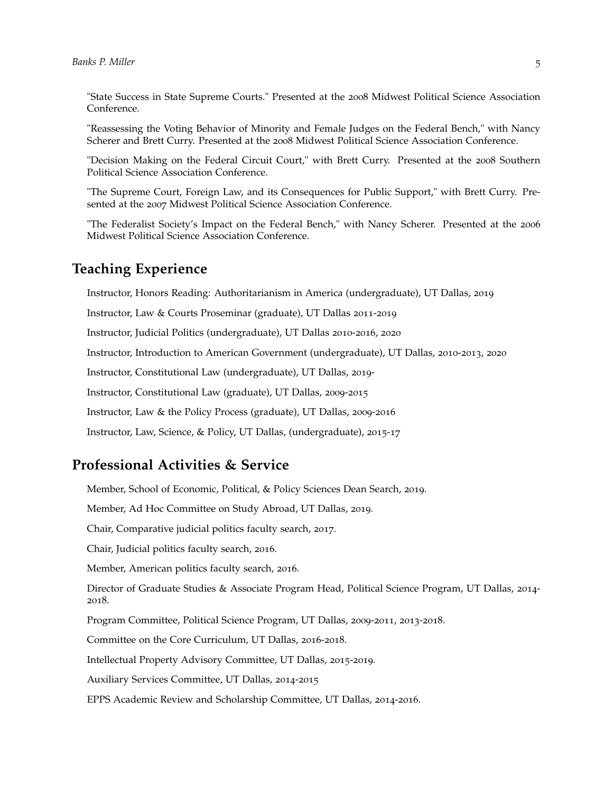"State Success in State Supreme Courts." Presented at the 2008 Midwest Political Science Association Conference.

"Reassessing the Voting Behavior of Minority and Female Judges on the Federal Bench," with Nancy Scherer and Brett Curry. Presented at the 2008 Midwest Political Science Association Conference.

"Decision Making on the Federal Circuit Court," with Brett Curry. Presented at the 2008 Southern Political Science Association Conference.

"The Supreme Court, Foreign Law, and its Consequences for Public Support," with Brett Curry. Presented at the 2007 Midwest Political Science Association Conference.

"The Federalist Society's Impact on the Federal Bench," with Nancy Scherer. Presented at the 2006 Midwest Political Science Association Conference.

#### **Teaching Experience**

Instructor, Honors Reading: Authoritarianism in America (undergraduate), UT Dallas, 2019

Instructor, Law & Courts Proseminar (graduate), UT Dallas 2011-2019

Instructor, Judicial Politics (undergraduate), UT Dallas 2010-2016, 2020

Instructor, Introduction to American Government (undergraduate), UT Dallas, 2010-2013, 2020

Instructor, Constitutional Law (undergraduate), UT Dallas, 2019-

Instructor, Constitutional Law (graduate), UT Dallas, 2009-2015

Instructor, Law & the Policy Process (graduate), UT Dallas, 2009-2016

Instructor, Law, Science, & Policy, UT Dallas, (undergraduate), 2015-17

#### **Professional Activities & Service**

Member, School of Economic, Political, & Policy Sciences Dean Search, 2019.

Member, Ad Hoc Committee on Study Abroad, UT Dallas, 2019.

Chair, Comparative judicial politics faculty search, 2017.

Chair, Judicial politics faculty search, 2016.

Member, American politics faculty search, 2016.

Director of Graduate Studies & Associate Program Head, Political Science Program, UT Dallas, 2014- 2018.

Program Committee, Political Science Program, UT Dallas, 2009-2011, 2013-2018.

Committee on the Core Curriculum, UT Dallas, 2016-2018.

Intellectual Property Advisory Committee, UT Dallas, 2015-2019.

Auxiliary Services Committee, UT Dallas, 2014-2015

EPPS Academic Review and Scholarship Committee, UT Dallas, 2014-2016.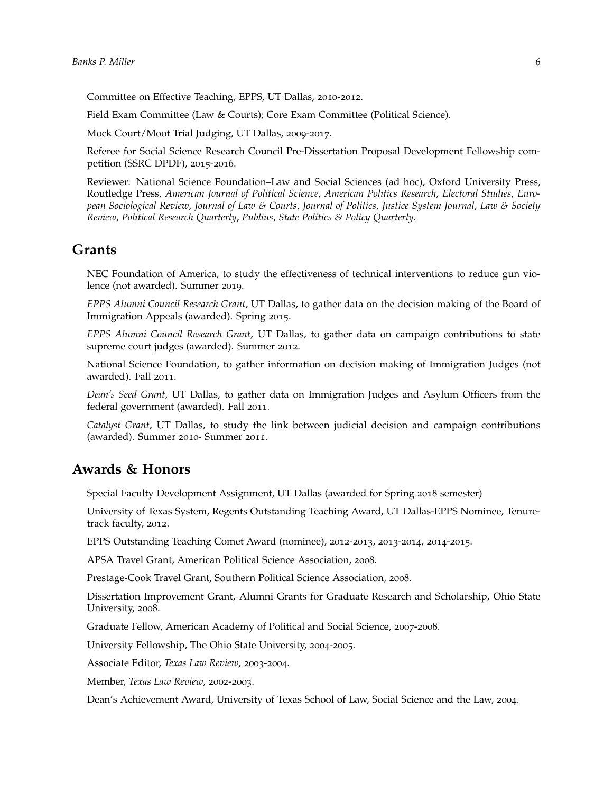Committee on Effective Teaching, EPPS, UT Dallas, 2010-2012.

Field Exam Committee (Law & Courts); Core Exam Committee (Political Science).

Mock Court/Moot Trial Judging, UT Dallas, 2009-2017.

Referee for Social Science Research Council Pre-Dissertation Proposal Development Fellowship competition (SSRC DPDF), 2015-2016.

Reviewer: National Science Foundation–Law and Social Sciences (ad hoc), Oxford University Press, Routledge Press, *American Journal of Political Science*, *American Politics Research*, *Electoral Studies*, *European Sociological Review*, *Journal of Law & Courts*, *Journal of Politics*, *Justice System Journal*, *Law & Society Review*, *Political Research Quarterly*, *Publius*, *State Politics & Policy Quarterly*.

#### **Grants**

NEC Foundation of America, to study the effectiveness of technical interventions to reduce gun violence (not awarded). Summer 2019.

*EPPS Alumni Council Research Grant*, UT Dallas, to gather data on the decision making of the Board of Immigration Appeals (awarded). Spring 2015.

*EPPS Alumni Council Research Grant*, UT Dallas, to gather data on campaign contributions to state supreme court judges (awarded). Summer 2012.

National Science Foundation, to gather information on decision making of Immigration Judges (not awarded). Fall 2011.

*Dean's Seed Grant*, UT Dallas, to gather data on Immigration Judges and Asylum Officers from the federal government (awarded). Fall 2011.

*Catalyst Grant*, UT Dallas, to study the link between judicial decision and campaign contributions (awarded). Summer 2010- Summer 2011.

## **Awards & Honors**

Special Faculty Development Assignment, UT Dallas (awarded for Spring 2018 semester)

University of Texas System, Regents Outstanding Teaching Award, UT Dallas-EPPS Nominee, Tenuretrack faculty, 2012.

EPPS Outstanding Teaching Comet Award (nominee), 2012-2013, 2013-2014, 2014-2015.

APSA Travel Grant, American Political Science Association, 2008.

Prestage-Cook Travel Grant, Southern Political Science Association, 2008.

Dissertation Improvement Grant, Alumni Grants for Graduate Research and Scholarship, Ohio State University, 2008.

Graduate Fellow, American Academy of Political and Social Science, 2007-2008.

University Fellowship, The Ohio State University, 2004-2005.

Associate Editor, *Texas Law Review*, 2003-2004.

Member, *Texas Law Review*, 2002-2003.

Dean's Achievement Award, University of Texas School of Law, Social Science and the Law, 2004.